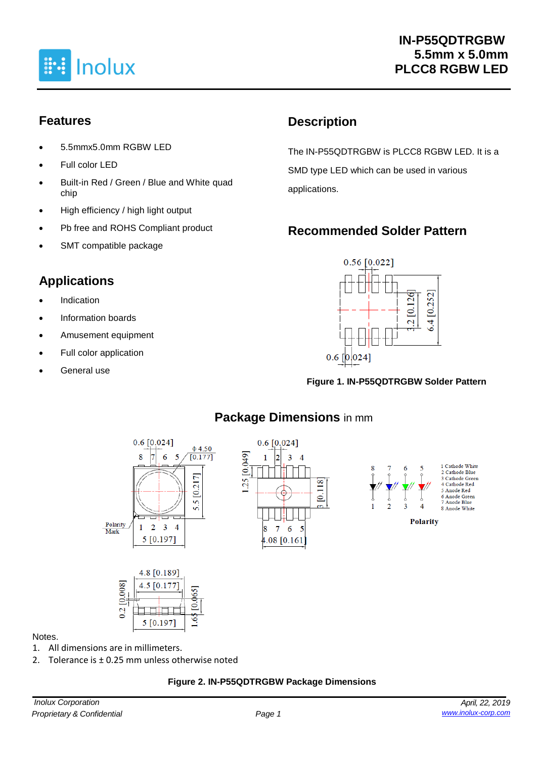

### **Features**

- 5.5mmx5.0mm RGBW LED
- Full color LED
- Built-in Red / Green / Blue and White quad chip
- High efficiency / high light output
- Pb free and ROHS Compliant product
- SMT compatible package

### **Applications**

- **Indication**
- Information boards
- Amusement equipment
- Full color application
- General use

### **Description**

The IN-P55QDTRGBW is PLCC8 RGBW LED. It is a SMD type LED which can be used in various applications.

## **Recommended Solder Pattern**



#### **Figure 1. IN-P55QDTRGBW Solder Pattern**



#### **Package Dimensions** in mm

#### Notes.

- 1. All dimensions are in millimeters.
- 2. Tolerance is ± 0.25 mm unless otherwise noted

وبوري

5 [0.197]

<u>്</u>

ొం

#### **Figure 2. IN-P55QDTRGBW Package Dimensions**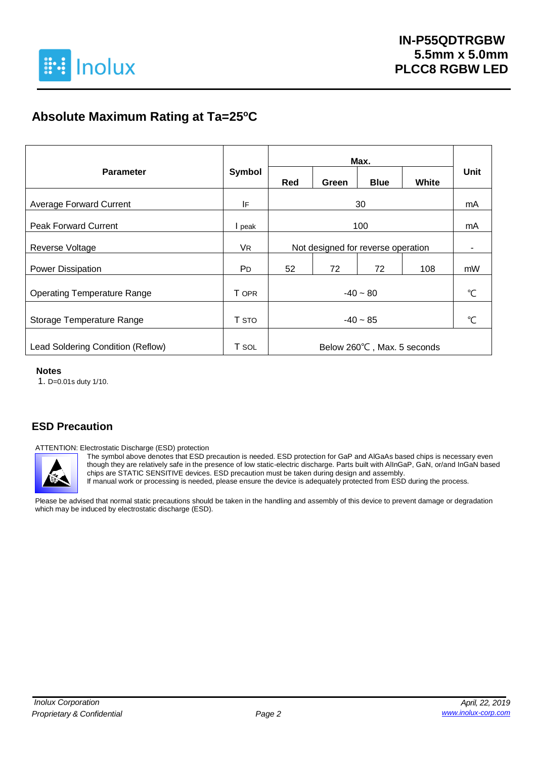

### **Absolute Maximum Rating at Ta=25<sup>o</sup>C**

|                                    |                       |                                    |                | Max.        |       |               |
|------------------------------------|-----------------------|------------------------------------|----------------|-------------|-------|---------------|
| <b>Parameter</b>                   | Symbol                | Red                                | Green          | <b>Blue</b> | White | Unit          |
| <b>Average Forward Current</b>     | IF                    |                                    |                | 30          |       | mA            |
| <b>Peak Forward Current</b>        | I peak                |                                    | mA             |             |       |               |
| Reverse Voltage                    | VR.                   | Not designed for reverse operation | $\blacksquare$ |             |       |               |
| Power Dissipation                  | <b>P</b> <sub>D</sub> | 52                                 | 72             | 72          | 108   | mW            |
| <b>Operating Temperature Range</b> | T OPR                 | $-40 - 80$                         |                |             |       | $^{\circ}$ C  |
| Storage Temperature Range          | T STO                 | $-40 - 85$                         |                |             |       | $\mathcal{C}$ |
| Lead Soldering Condition (Reflow)  | T SOL                 | Below 260°C, Max. 5 seconds        |                |             |       |               |

#### **Notes**

1. D=0.01s duty 1/10.

#### **ESD Precaution**

ATTENTION: Electrostatic Discharge (ESD) protection



The symbol above denotes that ESD precaution is needed. ESD protection for GaP and AlGaAs based chips is necessary even though they are relatively safe in the presence of low static-electric discharge. Parts built with AlInGaP, GaN, or/and InGaN based chips are STATIC SENSITIVE devices. ESD precaution must be taken during design and assembly.

If manual work or processing is needed, please ensure the device is adequately protected from ESD during the process.

Please be advised that normal static precautions should be taken in the handling and assembly of this device to prevent damage or degradation which may be induced by electrostatic discharge (ESD).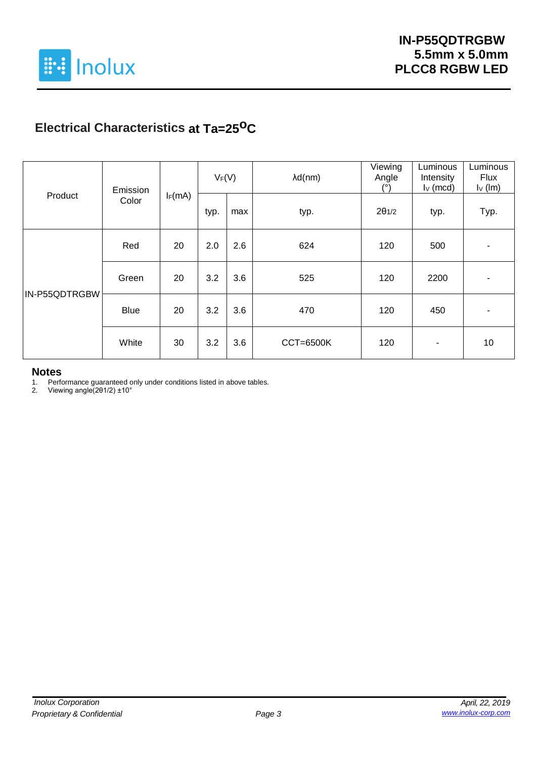

## **Electrical Characteristics at Ta=25oC**

| Product       | Emission    |           | $V_F(V)$ |     | $\lambda d(nm)$  | Viewing<br>Angle<br>(°) | Luminous<br>Intensity<br>$I_V$ (mcd) | Luminous<br><b>Flux</b><br>$I_{\vee}$ (Im) |
|---------------|-------------|-----------|----------|-----|------------------|-------------------------|--------------------------------------|--------------------------------------------|
|               | Color       | $I_F(mA)$ | typ.     | max | typ.             | $2\theta$ 1/2           | typ.                                 | Typ.                                       |
|               | Red         | 20        | 2.0      | 2.6 | 624              | 120                     | 500                                  |                                            |
|               | Green       | 20        | 3.2      | 3.6 | 525              | 120                     | 2200                                 |                                            |
| IN-P55QDTRGBW | <b>Blue</b> | 20        | 3.2      | 3.6 | 470              | 120                     | 450                                  |                                            |
|               | White       | 30        | 3.2      | 3.6 | <b>CCT=6500K</b> | 120                     | ۰                                    | 10                                         |

# **Notes**<br>1. Perfo

1. Performance guaranteed only under conditions listed in above tables.

2. Viewing angle(2θ1/2) ±10°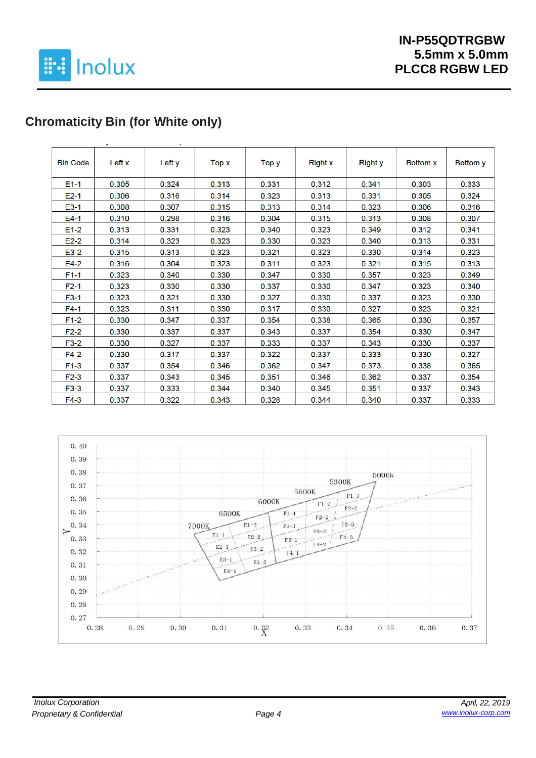

## **Chromaticity Bin (for White only)**

|                 | ٠      |        |       |       |                |                |                 |                 |
|-----------------|--------|--------|-------|-------|----------------|----------------|-----------------|-----------------|
| <b>Bin Code</b> | Left x | Left y | Top x | Top y | <b>Right x</b> | <b>Right</b> y | <b>Bottom x</b> | <b>Bottom</b> y |
| $E1-1$          | 0.305  | 0.324  | 0.313 | 0.331 | 0.312          | 0.341          | 0.303           | 0.333           |
| $E2-1$          | 0.306  | 0.316  | 0.314 | 0.323 | 0.313          | 0.331          | 0.305           | 0.324           |
| $E3-1$          | 0.308  | 0.307  | 0.315 | 0.313 | 0.314          | 0.323          | 0.306           | 0.316           |
| $E4-1$          | 0.310  | 0.298  | 0.316 | 0.304 | 0.315          | 0.313          | 0.308           | 0.307           |
| $E1-2$          | 0.313  | 0.331  | 0.323 | 0.340 | 0.323          | 0.349          | 0.312           | 0.341           |
| $E2-2$          | 0.314  | 0.323  | 0.323 | 0.330 | 0.323          | 0.340          | 0.313           | 0.331           |
| $E3-2$          | 0.315  | 0.313  | 0.323 | 0.321 | 0.323          | 0.330          | 0.314           | 0.323           |
| $E4-2$          | 0.316  | 0.304  | 0.323 | 0.311 | 0.323          | 0.321          | 0.315           | 0.313           |
| $F1-1$          | 0.323  | 0.340  | 0.330 | 0.347 | 0.330          | 0.357          | 0.323           | 0.349           |
| $F2-1$          | 0.323  | 0.330  | 0.330 | 0.337 | 0.330          | 0.347          | 0.323           | 0.340           |
| $F3-1$          | 0.323  | 0.321  | 0.330 | 0.327 | 0.330          | 0.337          | 0.323           | 0.330           |
| $F4-1$          | 0.323  | 0.311  | 0.330 | 0.317 | 0.330          | 0.327          | 0.323           | 0.321           |
| $F1-2$          | 0.330  | 0.347  | 0.337 | 0.354 | 0.338          | 0.365          | 0.330           | 0.357           |
| $F2-2$          | 0.330  | 0.337  | 0.337 | 0.343 | 0.337          | 0.354          | 0.330           | 0.347           |
| $F3-2$          | 0.330  | 0.327  | 0.337 | 0.333 | 0.337          | 0.343          | 0.330           | 0.337           |
| $F4-2$          | 0.330  | 0.317  | 0.337 | 0.322 | 0.337          | 0.333          | 0.330           | 0.327           |
| $F1-3$          | 0.337  | 0.354  | 0.346 | 0.362 | 0.347          | 0.373          | 0.338           | 0.365           |
| $F2-3$          | 0.337  | 0.343  | 0.345 | 0.351 | 0.346          | 0.362          | 0.337           | 0.354           |
| $F3-3$          | 0.337  | 0.333  | 0.344 | 0.340 | 0.345          | 0.351          | 0.337           | 0.343           |
| $F4-3$          | 0.337  | 0.322  | 0.343 | 0.328 | 0.344          | 0.340          | 0.337           | 0.333           |

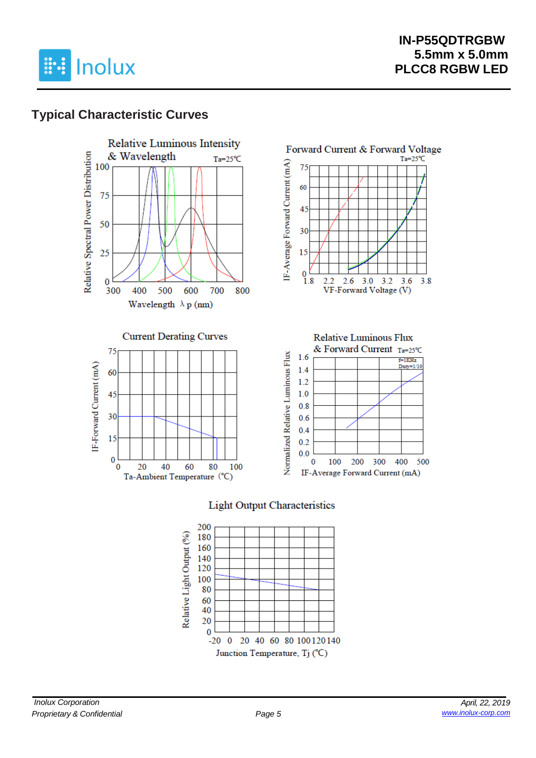

### **Typical Characteristic Curves**









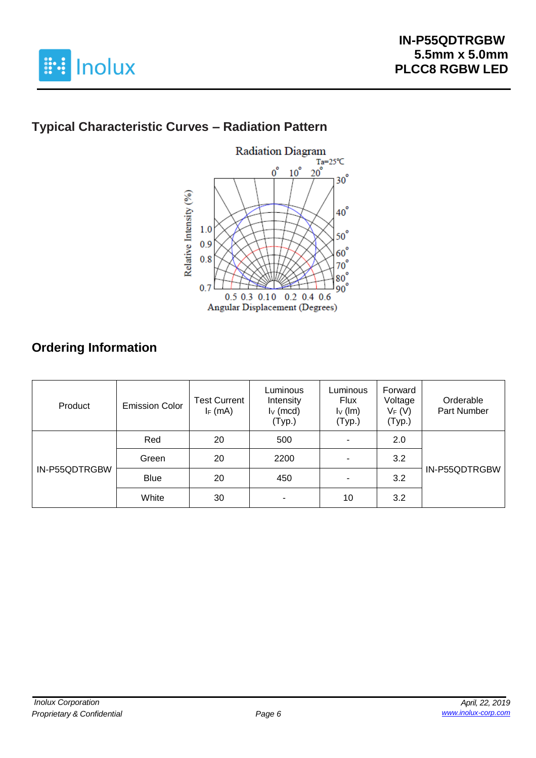

## **Typical Characteristic Curves – Radiation Pattern**



## **Ordering Information**

| Product       | <b>Emission Color</b> | <b>Test Current</b><br>$I_F$ (mA) | Luminous<br>Intensity<br>$I_V$ (mcd)<br>(Typ.) | Luminous<br><b>Flux</b><br>$I_V$ (lm)<br>(Typ.) | Forward<br>Voltage<br>$V_F(V)$<br>(Typ.) | Orderable<br>Part Number |
|---------------|-----------------------|-----------------------------------|------------------------------------------------|-------------------------------------------------|------------------------------------------|--------------------------|
|               | Red                   | 20                                | 500                                            |                                                 | 2.0                                      |                          |
|               | Green                 | 20                                | 2200                                           |                                                 | 3.2                                      |                          |
| IN-P55QDTRGBW | <b>Blue</b>           | 20                                | 450                                            |                                                 | 3.2                                      | IN-P55QDTRGBW            |
|               | White                 | 30                                |                                                | 10                                              | 3.2                                      |                          |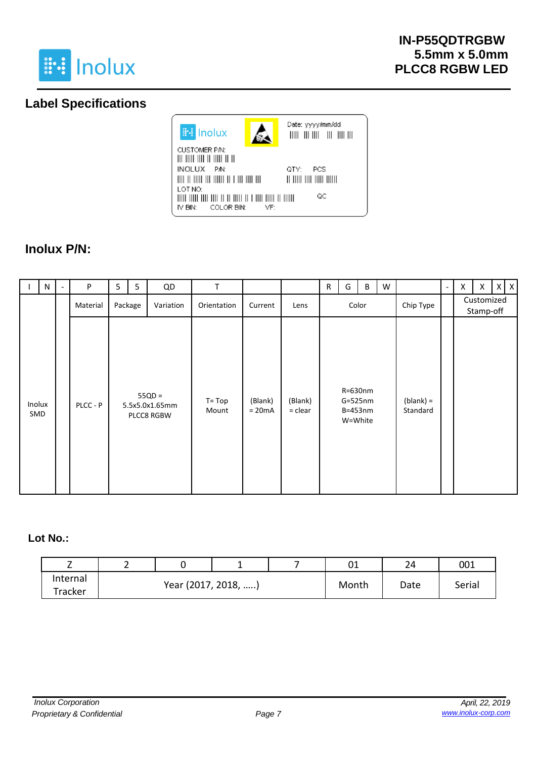

### **Label Specifications**



## **Inolux P/N:**

|               | N | P        | 5 | 5       | QD                                       | T                  |                     |                      | R | G     | B                                              | W |                         | $\overline{\phantom{a}}$ | X | X | $X$ $X$ |  |  |  |  |  |  |  |  |  |  |           |  |  |                         |  |
|---------------|---|----------|---|---------|------------------------------------------|--------------------|---------------------|----------------------|---|-------|------------------------------------------------|---|-------------------------|--------------------------|---|---|---------|--|--|--|--|--|--|--|--|--|--|-----------|--|--|-------------------------|--|
|               |   | Material |   | Package | Variation                                | Orientation        | Current             | Lens                 |   | Color |                                                |   |                         |                          |   |   |         |  |  |  |  |  |  |  |  |  |  | Chip Type |  |  | Customized<br>Stamp-off |  |
| Inolux<br>SMD |   | PLCC - P |   |         | $55QD =$<br>5.5x5.0x1.65mm<br>PLCC8 RGBW | $T = Top$<br>Mount | (Blank)<br>$= 20mA$ | (Blank)<br>$=$ clear |   |       | R=630nm<br>$G=525nm$<br>$B = 453nm$<br>W=White |   | $(blank) =$<br>Standard |                          |   |   |         |  |  |  |  |  |  |  |  |  |  |           |  |  |                         |  |

#### **Lot No.:**

| _        |                     |  |       | ົ<br>∪⊥ | 24     | 001 |
|----------|---------------------|--|-------|---------|--------|-----|
| Internal | Year (2017, 2018, ) |  | Month | Date    | Serial |     |
| Tracker  |                     |  |       |         |        |     |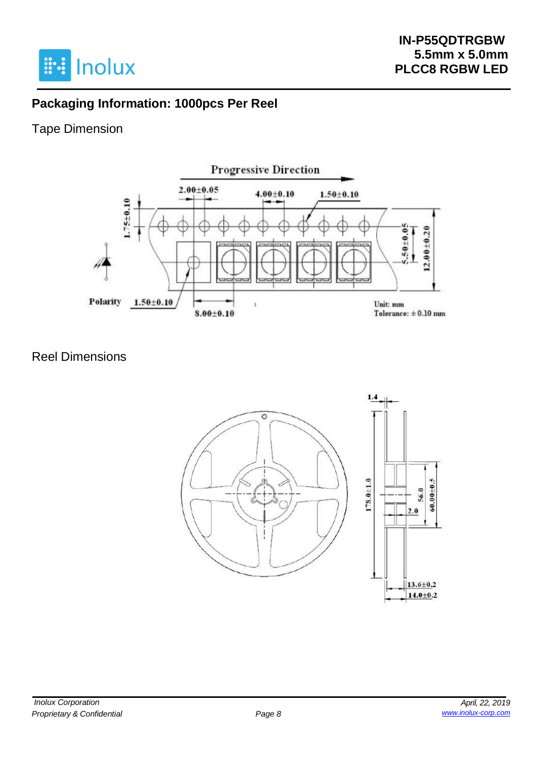

### **Packaging Information: 1000pcs Per Reel**

### Tape Dimension



### Reel Dimensions

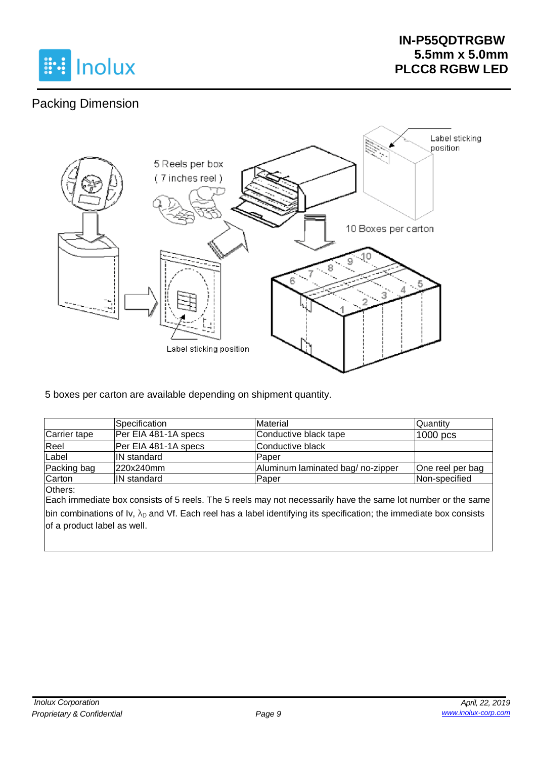

## Packing Dimension



5 boxes per carton are available depending on shipment quantity.

|              | ISpecification       | Material                         | lQuantitv        |
|--------------|----------------------|----------------------------------|------------------|
| Carrier tape | Per EIA 481-1A specs | Conductive black tape            | 1000 pcs         |
| Reel         | Per EIA 481-1A specs | Conductive black                 |                  |
| Label        | <b>IN standard</b>   | Paper                            |                  |
| Packing bag  | 220x240mm            | Aluminum laminated bag/no-zipper | One reel per bag |
| Carton       | IN standard          | Paper                            | Non-specified    |

Others:

Each immediate box consists of 5 reels. The 5 reels may not necessarily have the same lot number or the same bin combinations of Iv,  $\lambda_D$  and Vf. Each reel has a label identifying its specification; the immediate box consists of a product label as well.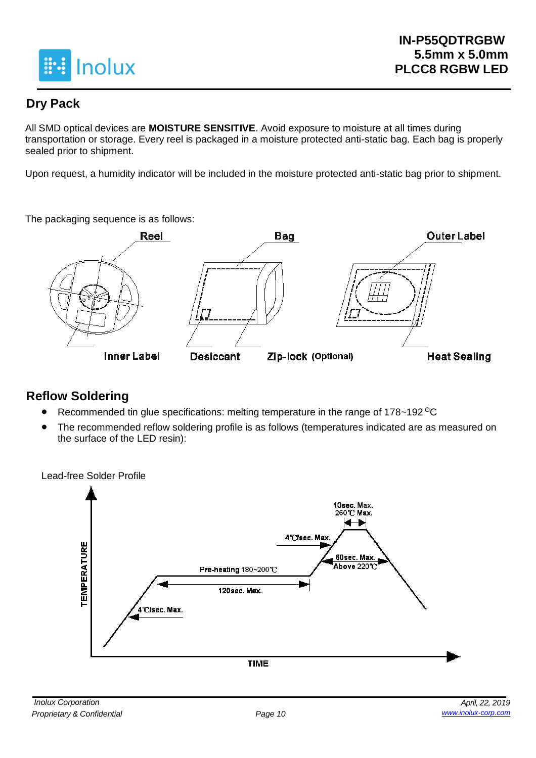

### **Dry Pack**

All SMD optical devices are **MOISTURE SENSITIVE**. Avoid exposure to moisture at all times during transportation or storage. Every reel is packaged in a moisture protected anti-static bag. Each bag is properly sealed prior to shipment.

Upon request, a humidity indicator will be included in the moisture protected anti-static bag prior to shipment.

The packaging sequence is as follows:



### **Reflow Soldering**

- Recommended tin glue specifications: melting temperature in the range of 178~192 <sup>o</sup>C
- The recommended reflow soldering profile is as follows (temperatures indicated are as measured on the surface of the LED resin):



Lead-free Solder Profile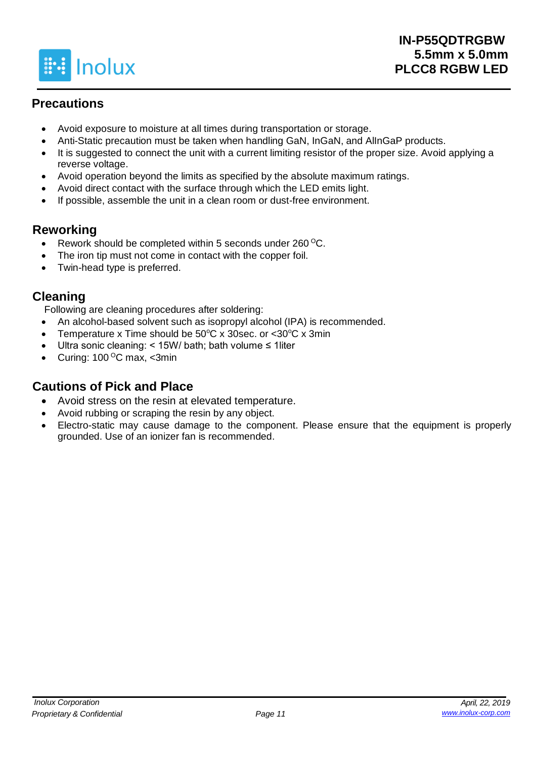

### **Precautions**

- Avoid exposure to moisture at all times during transportation or storage.
- Anti-Static precaution must be taken when handling GaN, InGaN, and AlInGaP products.
- It is suggested to connect the unit with a current limiting resistor of the proper size. Avoid applying a reverse voltage.
- Avoid operation beyond the limits as specified by the absolute maximum ratings.
- Avoid direct contact with the surface through which the LED emits light.
- If possible, assemble the unit in a clean room or dust-free environment.

### **Reworking**

- Rework should be completed within 5 seconds under 260 °C.
- The iron tip must not come in contact with the copper foil.
- Twin-head type is preferred.

### **Cleaning**

Following are cleaning procedures after soldering:

- An alcohol-based solvent such as isopropyl alcohol (IPA) is recommended.
- Temperature x Time should be  $50^{\circ}$ C x 30sec. or  $\lt 30^{\circ}$ C x 3min
- Ultra sonic cleaning: < 15W/ bath; bath volume ≤ 1liter
- Curing:  $100^{\circ}$ C max, <3min

### **Cautions of Pick and Place**

- Avoid stress on the resin at elevated temperature.
- Avoid rubbing or scraping the resin by any object.
- Electro-static may cause damage to the component. Please ensure that the equipment is properly grounded. Use of an ionizer fan is recommended.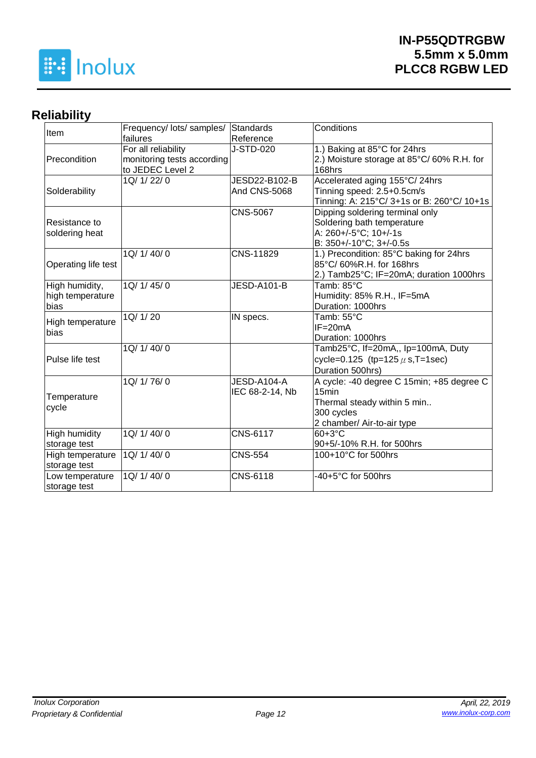

## **Reliability**

| Item                | Frequency/ lots/ samples/  | <b>Standards</b>    | Conditions                                 |
|---------------------|----------------------------|---------------------|--------------------------------------------|
|                     | failures                   | Reference           |                                            |
|                     | For all reliability        | J-STD-020           | 1.) Baking at 85°C for 24hrs               |
| Precondition        | monitoring tests according |                     | 2.) Moisture storage at 85°C/60% R.H. for  |
|                     | to JEDEC Level 2           |                     | 168hrs                                     |
|                     | 1Q/ 1/ 22/ 0               | JESD22-B102-B       | Accelerated aging 155°C/24hrs              |
| Solderability       |                            | <b>And CNS-5068</b> | Tinning speed: 2.5+0.5cm/s                 |
|                     |                            |                     | Tinning: A: 215°C/ 3+1s or B: 260°C/ 10+1s |
|                     |                            | <b>CNS-5067</b>     | Dipping soldering terminal only            |
| Resistance to       |                            |                     | Soldering bath temperature                 |
| soldering heat      |                            |                     | A: 260+/-5°C; 10+/-1s                      |
|                     |                            |                     | B: 350+/-10°C; 3+/-0.5s                    |
|                     | 1Q/ 1/ 40/ 0               | CNS-11829           | 1.) Precondition: 85°C baking for 24hrs    |
| Operating life test |                            |                     | 85°C/60%R.H. for 168hrs                    |
|                     |                            |                     | 2.) Tamb25°C; IF=20mA; duration 1000hrs    |
| High humidity,      | 1Q/1/45/0                  | <b>JESD-A101-B</b>  | Tamb: 85°C                                 |
| high temperature    |                            |                     | Humidity: 85% R.H., IF=5mA                 |
| bias                |                            |                     | Duration: 1000hrs                          |
|                     | 1Q/ 1/ 20                  | IN specs.           | Tamb: 55°C                                 |
| High temperature    |                            |                     | $IF = 20mA$                                |
| bias                |                            |                     | Duration: 1000hrs                          |
|                     | 1Q/ 1/ 40/ 0               |                     | Tamb25°C, If=20mA,, Ip=100mA, Duty         |
| Pulse life test     |                            |                     | cycle=0.125 (tp=125 $\mu$ s, T=1sec)       |
|                     |                            |                     | Duration 500hrs)                           |
|                     | 1Q/ 1/ 76/ 0               | JESD-A104-A         | A cycle: -40 degree C 15min; +85 degree C  |
|                     |                            | IEC 68-2-14, Nb     | 15 <sub>min</sub>                          |
| Temperature         |                            |                     | Thermal steady within 5 min                |
| cycle               |                            |                     | 300 cycles                                 |
|                     |                            |                     | 2 chamber/ Air-to-air type                 |
| High humidity       | 1Q/ 1/ 40/ 0               | <b>CNS-6117</b>     | 60+3°C                                     |
| storage test        |                            |                     | 90+5/-10% R.H. for 500hrs                  |
| High temperature    | 1Q/ 1/ 40/ 0               | <b>CNS-554</b>      | 100+10°C for 500hrs                        |
| storage test        |                            |                     |                                            |
| Low temperature     | 1Q/ 1/ 40/ 0               | CNS-6118            | -40+5°C for 500hrs                         |
| storage test        |                            |                     |                                            |